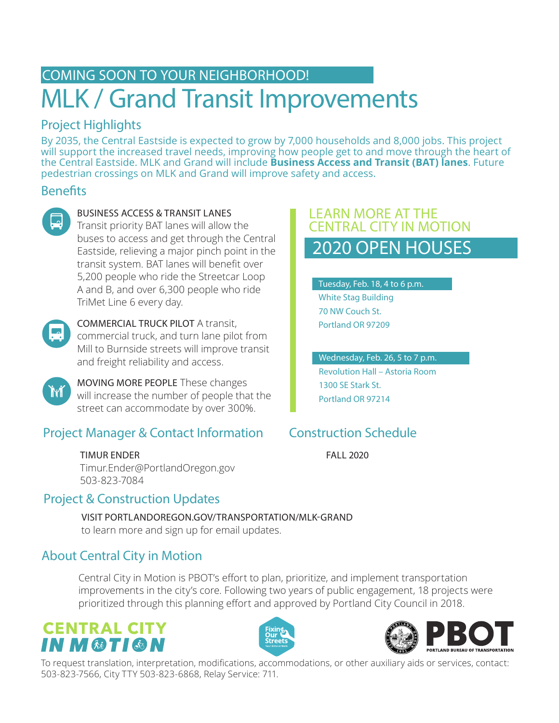# COMING SOON TO YOUR NEIGHBORHOOD! MLK / Grand Transit Improvements

### Project Highlights

By 2035, the Central Eastside is expected to grow by 7,000 households and 8,000 jobs. This project will support the increased travel needs, improving how people get to and move through the heart of the Central Eastside. MLK and Grand will include **Business Access and Transit (BAT) lanes**. Future pedestrian crossings on MLK and Grand will improve safety and access.

### **Benefits**



#### BUSINESS ACCESS & TRANSIT LANES

Transit priority BAT lanes will allow the buses to access and get through the Central Eastside, relieving a major pinch point in the transit system. BAT lanes will benefit over 5,200 people who ride the Streetcar Loop A and B, and over 6,300 people who ride TriMet Line 6 every day.



Ĭĭſ

#### COMMERCIAL TRUCK PILOT A transit, commercial truck, and turn lane pilot from Mill to Burnside streets will improve transit and freight reliability and access.

MOVING MORE PEOPLE These changes will increase the number of people that the street can accommodate by over 300%.

### Project Manager & Contact Information

TIMUR ENDER Timur.Ender@PortlandOregon.gov 503-823-7084

### Project & Construction Updates

#### VISIT PORTLANDOREGON.GOV/TRANSPORTATION/MLK-GRAND to learn more and sign up for email updates.

### About Central City in Motion

Central City in Motion is PBOT's effort to plan, prioritize, and implement transportation improvements in the city's core. Following two years of public engagement, 18 projects were prioritized through this planning effort and approved by Portland City Council in 2018.

# **CENTRAL CITY** IN M®TI®N





To request translation, interpretation, modifications, accommodations, or other auxiliary aids or services, contact: 503-823-7566, City TTY 503-823-6868, Relay Service: 711.

### 2020 OPEN HOUSES LEARN MORE AT THE CENTRAL CITY IN MOTION

Tuesday, Feb. 18, 4 to 6 p.m. White Stag Building 70 NW Couch St. Portland OR 97209

#### Wednesday, Feb. 26, 5 to 7 p.m.

Revolution Hall – Astoria Room 1300 SE Stark St. Portland OR 97214

## Construction Schedule

FALL 2020